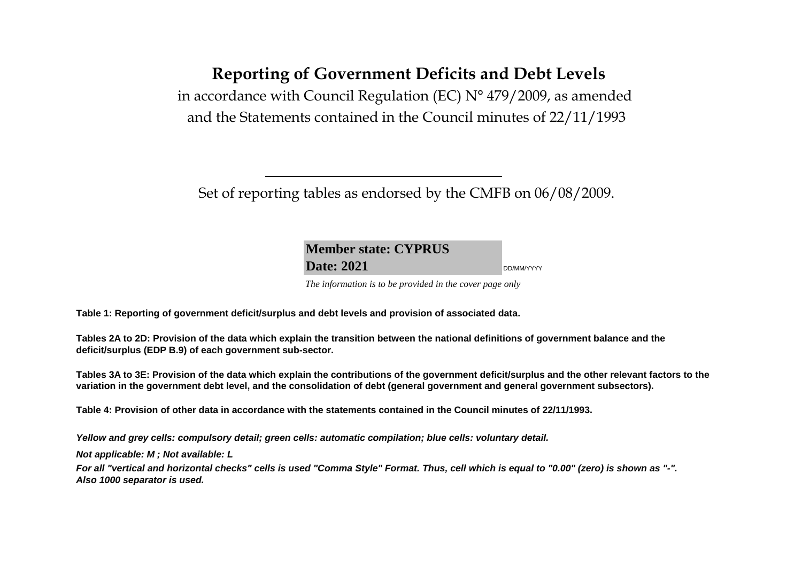# **Reporting of Government Deficits and Debt Levels**

in accordance with Council Regulation (EC) N° 479/2009, as amended and the Statements contained in the Council minutes of 22/11/1993

Set of reporting tables as endorsed by the CMFB on 06/08/2009.

**Member state: CYPRUS Date: 2021** DD/MM/YYYY

*The information is to be provided in the cover page only* 

**Table 1: Reporting of government deficit/surplus and debt levels and provision of associated data.**

**Tables 2A to 2D: Provision of the data which explain the transition between the national definitions of government balance and the deficit/surplus (EDP B.9) of each government sub-sector.**

**Tables 3A to 3E: Provision of the data which explain the contributions of the government deficit/surplus and the other relevant factors to the variation in the government debt level, and the consolidation of debt (general government and general government subsectors).**

**Table 4: Provision of other data in accordance with the statements contained in the Council minutes of 22/11/1993.**

*Yellow and grey cells: compulsory detail; green cells: automatic compilation; blue cells: voluntary detail.*

*Not applicable: M ; Not available: L* 

*For all "vertical and horizontal checks" cells is used "Comma Style" Format. Thus, cell which is equal to "0.00" (zero) is shown as "-". Also 1000 separator is used.*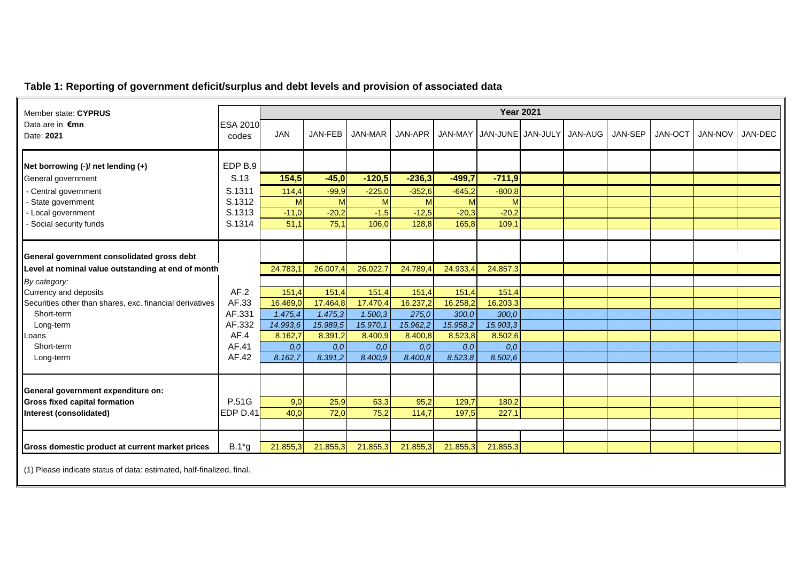## **Table 1: Reporting of government deficit/surplus and debt levels and provision of associated data**

| Member state: CYPRUS                                                  |                 | <b>Year 2021</b> |          |          |          |          |                   |  |         |         |         |         |         |
|-----------------------------------------------------------------------|-----------------|------------------|----------|----------|----------|----------|-------------------|--|---------|---------|---------|---------|---------|
| Data are in $\n  Emn\n$                                               | <b>ESA 2010</b> |                  |          |          |          |          |                   |  |         |         |         |         |         |
| Date: 2021                                                            | codes           | <b>JAN</b>       | JAN-FEB  | JAN-MAR  | JAN-APR  | JAN-MAY  | JAN-JUNE JAN-JULY |  | JAN-AUG | JAN-SEP | JAN-OCT | JAN-NOV | JAN-DEC |
| Net borrowing (-)/ net lending (+)                                    | EDP B.9         |                  |          |          |          |          |                   |  |         |         |         |         |         |
| General government                                                    | S.13            | 154,5            | $-45,0$  | $-120,5$ | $-236,3$ | $-499,7$ | $-711.9$          |  |         |         |         |         |         |
|                                                                       | S.1311          | 114,4            | $-99,9$  | $-225,0$ | $-352,6$ | $-645.2$ | $-800,8$          |  |         |         |         |         |         |
| Central government<br>State government                                | S.1312          | M                | M        | M        | M        | M        | M                 |  |         |         |         |         |         |
| Local government                                                      | S.1313          | $-11,0$          | $-20,2$  | $-1,5$   | $-12,5$  | $-20,3$  | $-20,2$           |  |         |         |         |         |         |
| Social security funds                                                 | S.1314          | 51,1             | 75,1     | 106.0    | 128,8    | 165,8    | 109,1             |  |         |         |         |         |         |
|                                                                       |                 |                  |          |          |          |          |                   |  |         |         |         |         |         |
| General government consolidated gross debt                            |                 |                  |          |          |          |          |                   |  |         |         |         |         |         |
| Level at nominal value outstanding at end of month                    |                 | 24.783,1         | 26.007,4 | 26.022,7 | 24.789,4 | 24.933,4 | 24.857,3          |  |         |         |         |         |         |
| By category:                                                          |                 |                  |          |          |          |          |                   |  |         |         |         |         |         |
| Currency and deposits                                                 | AF.2            | 151,4            | 151,4    | 151,4    | 151,4    | 151,4    | 151,4             |  |         |         |         |         |         |
| Securities other than shares, exc. financial derivatives              | AF.33           | 16.469,0         | 17.464,8 | 17.470,4 | 16.237,2 | 16.258,2 | 16.203,3          |  |         |         |         |         |         |
| Short-term                                                            | AF.331          | 1.475,4          | 1.475.3  | 1.500.3  | 275.0    | 300,0    | 300,0             |  |         |         |         |         |         |
| Long-term                                                             | AF.332          | 14.993,6         | 15.989,5 | 15.970,1 | 15.962,2 | 15.958,2 | 15.903,3          |  |         |         |         |         |         |
| Loans                                                                 | AF.4            | 8.162,7          | 8.391,2  | 8.400,9  | 8.400,8  | 8.523,8  | 8.502,6           |  |         |         |         |         |         |
| Short-term                                                            | AF.41           | 0,0              | 0,0      | 0,0      | 0,0      | 0,0      | 0,0               |  |         |         |         |         |         |
| Long-term                                                             | AF.42           | 8.162.7          | 8.391,2  | 8.400,9  | 8.400,8  | 8.523,8  | 8.502.6           |  |         |         |         |         |         |
|                                                                       |                 |                  |          |          |          |          |                   |  |         |         |         |         |         |
| General government expenditure on:                                    |                 |                  |          |          |          |          |                   |  |         |         |         |         |         |
| <b>Gross fixed capital formation</b>                                  | P.51G           | 9,0              | 25,9     | 63,3     | 95.2     | 129,7    | 180,2             |  |         |         |         |         |         |
| Interest (consolidated)                                               | EDP D.41        | 40,0             | 72,0     | 75,2     | 114.7    | 197,5    | 227,1             |  |         |         |         |         |         |
|                                                                       |                 |                  |          |          |          |          |                   |  |         |         |         |         |         |
| Gross domestic product at current market prices                       | $B.1*g$         | 21.855,3         | 21.855,3 | 21.855,3 | 21.855,3 | 21.855,3 | 21.855,3          |  |         |         |         |         |         |
| (1) Please indicate status of data: estimated, half-finalized, final. |                 |                  |          |          |          |          |                   |  |         |         |         |         |         |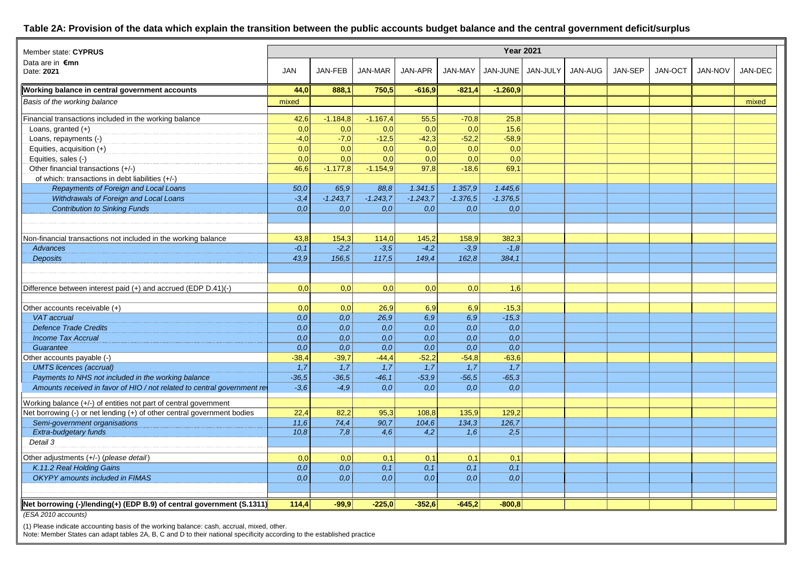#### **Table 2A: Provision of the data which explain the transition between the public accounts budget balance and the central government deficit/surplus**

| Member state: CYPRUS                                                    | <b>Year 2021</b> |            |                |            |            |            |          |         |         |         |                |         |
|-------------------------------------------------------------------------|------------------|------------|----------------|------------|------------|------------|----------|---------|---------|---------|----------------|---------|
| Data are in €mn<br>Date: 2021                                           | JAN              | JAN-FEB    | <b>JAN-MAR</b> | JAN-APR    | JAN-MAY    | JAN-JUNE   | JAN-JULY | JAN-AUG | JAN-SEP | JAN-OCT | <b>JAN-NOV</b> | JAN-DEC |
| Working balance in central government accounts                          | 44,0             | 888,1      | 750,5          | $-616,9$   | $-821,4$   | $-1.260,9$ |          |         |         |         |                |         |
| Basis of the working balance                                            | mixed            |            |                |            |            |            |          |         |         |         |                | mixed   |
| Financial transactions included in the working balance                  | 42,6             | $-1.184,8$ | $-1.167,4$     | 55,5       | $-70,8$    | 25,8       |          |         |         |         |                |         |
| Loans, granted $(+)$                                                    | 0,0              | 0,0        | 0,0            | 0,0        | 0,0        | 15,6       |          |         |         |         |                |         |
| Loans, repayments (-)                                                   | $-4,0$           | $-7,0$     | $-12,5$        | $-42,3$    | $-52,2$    | $-58,9$    |          |         |         |         |                |         |
| Equities, acquisition $(+)$                                             | 0,0              | 0.0        | 0.0            | 0,0        | 0,0        | 0,0        |          |         |         |         |                |         |
| Equities, sales (-)                                                     | 0,0              | 0,0        | 0,0            | 0,0        | 0,0        | 0,0        |          |         |         |         |                |         |
| Other financial transactions (+/-)                                      | 46,6             | $-1.177,8$ | $-1.154,9$     | 97,8       | $-18,6$    | 69,1       |          |         |         |         |                |         |
| of which: transactions in debt liabilities (+/-)                        |                  |            |                |            |            |            |          |         |         |         |                |         |
| Repayments of Foreign and Local Loans                                   | 50,0             | 65,9       | 88,8           | 1.341,5    | 1.357,9    | 1.445,6    |          |         |         |         |                |         |
| Withdrawals of Foreign and Local Loans                                  | $-3,4$           | $-1.243.7$ | $-1.243.7$     | $-1.243,7$ | $-1.376.5$ | $-1.376.5$ |          |         |         |         |                |         |
| <b>Contribution to Sinking Funds</b>                                    | 0.0              | 0,0        | 0,0            | 0,0        | 0,0        | O, O       |          |         |         |         |                |         |
|                                                                         |                  |            |                |            |            |            |          |         |         |         |                |         |
|                                                                         |                  |            |                |            |            |            |          |         |         |         |                |         |
| Non-financial transactions not included in the working balance          | 43,8             | 154,3      | 114,0          | 145,2      | 158,9      | 382,3      |          |         |         |         |                |         |
| <b>Advances</b>                                                         | $-0,1$           | $-2,2$     | $-3,5$         | $-4,2$     | $-3,9$     | $-1,8$     |          |         |         |         |                |         |
| <b>Deposits</b>                                                         | 43,9             | 156.5      | 117.5          | 149.4      | 162,8      | 384.1      |          |         |         |         |                |         |
|                                                                         |                  |            |                |            |            |            |          |         |         |         |                |         |
|                                                                         |                  |            |                |            |            |            |          |         |         |         |                |         |
| Difference between interest paid (+) and accrued (EDP D.41)(-)          | 0,0              | 0,0        | 0,0            | 0,0        | 0,0        | 1,6        |          |         |         |         |                |         |
|                                                                         |                  |            |                |            |            |            |          |         |         |         |                |         |
| Other accounts receivable (+)                                           | 0,0              | 0,0        | 26,9           | 6,9        | 6,9        | $-15,3$    |          |         |         |         |                |         |
| <b>VAT</b> accrual                                                      | 0,0              | 0,0        | 26.9           | 6,9        | 6,9        | $-15,3$    |          |         |         |         |                |         |
| <b>Defence Trade Credits</b>                                            | 0,0              | 0,0        | 0,0            | 0,0        | 0,0        | 0,0        |          |         |         |         |                |         |
| <b>Income Tax Accrual</b>                                               | 0,0              | 0,0        | 0,0            | 0,0        | 0,0        | 0,0        |          |         |         |         |                |         |
| Guarantee                                                               | 0,0              | 0,0        | 0,0            | 0,0        | 0,0        | 0,0        |          |         |         |         |                |         |
| Other accounts payable (-)                                              | $-38,4$          | $-39,7$    | $-44,4$        | $-52,2$    | $-54,8$    | $-63,6$    |          |         |         |         |                |         |
| <b>UMTS licences (accrual)</b>                                          | 1,7              | 1,7        | 1,7            | 1,7        | 1,7        | 1,7        |          |         |         |         |                |         |
| Payments to NHS not included in the working balance                     | $-36,5$          | $-36.5$    | $-46.1$        | $-53.9$    | $-56,5$    | $-65,3$    |          |         |         |         |                |         |
| Amounts received in favor of HIO / not related to central government re | $-3.6$           | $-4.9$     | 0.0            | 0,0        | 0,0        | 0.0        |          |         |         |         |                |         |
| Working balance (+/-) of entities not part of central government        |                  |            |                |            |            |            |          |         |         |         |                |         |
| Net borrowing (-) or net lending (+) of other central government bodies | 22,4             | 82,2       | 95,3           | 108,8      | 135,9      | 129,2      |          |         |         |         |                |         |
| Semi-government organisations                                           | 11,6             | 74,4       | 90.7           | 104,6      | 134,3      | 126,7      |          |         |         |         |                |         |
| Extra-budgetary funds                                                   | 10,8             | 7,8        | 4,6            | 4,2        | 1,6        | 2,5        |          |         |         |         |                |         |
| Detail 3                                                                |                  |            |                |            |            |            |          |         |         |         |                |         |
|                                                                         |                  |            |                |            |            |            |          |         |         |         |                |         |
| Other adjustments (+/-) (please detail)                                 | 0,0              | 0,0        | 0,1            | 0,1        | 0,1        | 0,1        |          |         |         |         |                |         |
| K.11.2 Real Holding Gains                                               | $\overline{0,0}$ | 0,0        | 0,1            | 0,1        | 0,1        | 0,1        |          |         |         |         |                |         |
| <b>OKYPY</b> amounts included in FIMAS                                  | 0,0              | 0,0        | 0,0            | 0,0        | 0,0        | 0,0        |          |         |         |         |                |         |
|                                                                         |                  |            |                |            |            |            |          |         |         |         |                |         |
|                                                                         | 114.4            | $-99.9$    | $-225.0$       | $-352.6$   |            | $-800.8$   |          |         |         |         |                |         |
| Net borrowing (-)/lending(+) (EDP B.9) of central government (S.1311)   |                  |            |                |            | $-645,2$   |            |          |         |         |         |                |         |
| (ESA 2010 accounts)<br>$\cdots$                                         |                  |            |                |            |            |            |          |         |         |         |                |         |

(1) Please indicate accounting basis of the working balance: cash, accrual, mixed, other.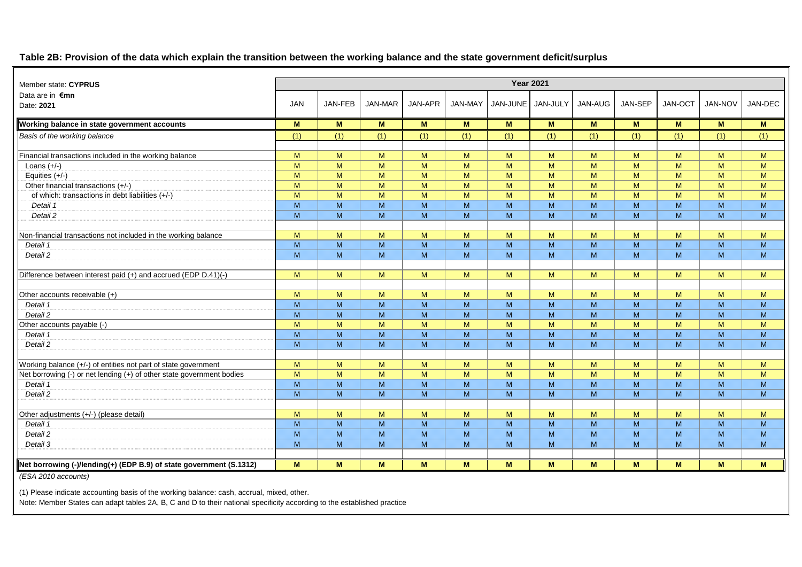#### **Table 2B: Provision of the data which explain the transition between the working balance and the state government deficit/surplus**

| Member state: CYPRUS                                                      |            |         |                |         |                | <b>Year 2021</b> |          |         |         |                |                         |                         |
|---------------------------------------------------------------------------|------------|---------|----------------|---------|----------------|------------------|----------|---------|---------|----------------|-------------------------|-------------------------|
| Data are in $\n  Emn\n$                                                   |            |         |                |         |                |                  |          |         |         |                |                         |                         |
| Date: 2021                                                                | <b>JAN</b> | JAN-FEB | <b>JAN-MAR</b> | JAN-APR | <b>JAN-MAY</b> | JAN-JUNE         | JAN-JULY | JAN-AUG | JAN-SEP | JAN-OCT        | <b>JAN-NOV</b>          | JAN-DEC                 |
| Working balance in state government accounts                              | M          | M       | M              | M       | M              | M                | M        | M       | M       | M              | M                       | M                       |
| Basis of the working balance                                              | (1)        | (1)     | (1)            | (1)     | (1)            | (1)              | (1)      | (1)     | (1)     | (1)            | (1)                     | (1)                     |
|                                                                           |            |         |                |         |                |                  |          |         |         |                |                         |                         |
| Financial transactions included in the working balance                    | M          | M       | M              | M       | M              | M                | M        | M       | M       | M              | M                       | M                       |
| Loans $(+/-)$                                                             | M          | M       | M              | M       | M              | M                | M        | M       | M       | M              | M                       | M                       |
| Equities $(+/-)$                                                          | M          | M       | M              | M       | M              | M                | M        | M       | M       | M              | M                       | M                       |
| Other financial transactions (+/-)                                        | M          | M       | M              | M       | M              | M                | M        | M       | M       | M              | M                       | M                       |
| of which: transactions in debt liabilities (+/-)                          | M          | M       | M              | M       | M              | M                | M        | M       | M       | M              | M                       | M                       |
| Detail 1                                                                  | M          | M       | M              | M       | M              | M                | M        | M       | M       | M              | M                       | M                       |
| Detail 2                                                                  | M          | M       | M              | M       | M              | M                | M        | M       | M       | M              | M                       | M                       |
|                                                                           |            |         |                |         |                |                  |          |         |         |                |                         |                         |
| Non-financial transactions not included in the working balance            | M          | M       | M              | M       | M              | M                | M        | M       | M       | M              | M                       | M                       |
| Detail 1                                                                  | M          | M       | M              | M       | M              | M                | M        | M       | M       | M              | M                       | M                       |
| Detail 2                                                                  | M          | M       | M              | M       | M              | M                | M        | M       | M       | M              | M                       | M                       |
|                                                                           |            |         |                |         |                |                  |          |         |         |                |                         |                         |
| Difference between interest paid (+) and accrued (EDP D.41)(-)            | M          | M       | M              | M       | M              | M                | M        | M       | M       | M              | M                       | M                       |
|                                                                           |            |         |                |         |                |                  |          |         |         |                |                         |                         |
| Other accounts receivable (+)                                             | M          | M       | M              | M       | M              | M                | M        | M       | M       | M              | M                       | M                       |
| Detail 1                                                                  | M          | M       | M              | M       | M              | M                | M        | M       | M       | ${\sf M}$      | ${\sf M}$               | M                       |
| Detail 2                                                                  | M          | M       | M              | M       | M              | M                | M        | M       | M       | M              | M                       | M                       |
| Other accounts payable (-)                                                | M          | M       | M              | M       | M              | M                | M        | M       | M       | M              | M                       | M                       |
| Detail 1                                                                  | M          | M       | M              | M       | M              | M                | M        | M       | M       | $\overline{M}$ | $\overline{\mathsf{M}}$ | $\overline{\mathsf{M}}$ |
| Detail 2                                                                  | M          | M       | M              | M       | M              | M                | M        | M       | M       | M              | M                       | M                       |
|                                                                           |            |         |                |         |                |                  |          |         |         |                |                         |                         |
| Working balance (+/-) of entities not part of state government            | M          | M       | M              | M       | M              | M                | M        | M       | M       | M              | M                       | M                       |
| Net borrowing $(-)$ or net lending $(+)$ of other state government bodies | M          | M       | M              | M       | M              | M                | M        | M       | M       | M              | ${\sf M}$               | M                       |
| Detail 1                                                                  | M          | M       | M              | M       | M              | M                | M        | M       | M       | M              | M                       | M                       |
| Detail 2                                                                  | M          | M       | M              | M       | M              | M                | M        | M       | M       | M              | $\overline{\mathsf{M}}$ | M                       |
|                                                                           |            |         |                |         |                |                  |          |         |         |                |                         |                         |
| Other adjustments (+/-) (please detail)                                   | M          | M       | M              | M       | M              | M                | M        | M       | M       | M              | M                       | M                       |
| Detail 1                                                                  | M          | M       | M              | M       | M              | M                | M        | M       | M       | M              | M                       | M                       |
| Detail 2                                                                  | M          | M       | M              | M       | M              | M                | M        | M       | M       | M              | M                       | M                       |
| Detail 3                                                                  | M          | M       | M              | M       | M              | M                | M        | M       | M       | M              | M                       | M                       |
|                                                                           |            |         |                |         |                |                  |          |         |         |                |                         |                         |
| Net borrowing (-)/lending(+) (EDP B.9) of state government (S.1312)       | M          | M       | M              | M       | M              | M                | M        | M       | M       | M              | M                       | M                       |

*(ESA 2010 accounts)*

(1) Please indicate accounting basis of the working balance: cash, accrual, mixed, other.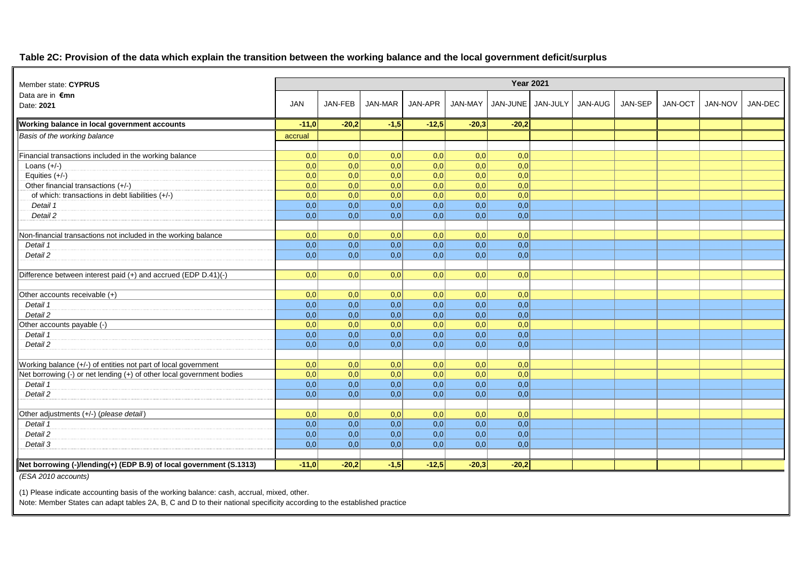#### **Table 2C: Provision of the data which explain the transition between the working balance and the local government deficit/surplus**

| Member state: CYPRUS                                                  |            |         |                   |         |         | <b>Year 2021</b> |          |         |         |         |         |         |
|-----------------------------------------------------------------------|------------|---------|-------------------|---------|---------|------------------|----------|---------|---------|---------|---------|---------|
| Data are in $\n  Emn\n$                                               |            |         |                   |         |         |                  |          |         |         |         |         |         |
| Date: 2021                                                            | <b>JAN</b> | JAN-FEB | JAN-MAR           | JAN-APR | JAN-MAY | JAN-JUNE         | JAN-JULY | JAN-AUG | JAN-SEP | JAN-OCT | JAN-NOV | JAN-DEC |
| Working balance in local government accounts                          | $-11,0$    | $-20,2$ | $-1,5$            | $-12,5$ | $-20,3$ | $-20,2$          |          |         |         |         |         |         |
| Basis of the working balance                                          | accrual    |         |                   |         |         |                  |          |         |         |         |         |         |
|                                                                       |            |         |                   |         |         |                  |          |         |         |         |         |         |
| Financial transactions included in the working balance                | 0,0        | 0,0     | $\vert 0,0 \vert$ | 0,0     | 0,0     | 0,0              |          |         |         |         |         |         |
| Loans $(+/-)$                                                         | 0,0        | 0,0     | 0,0               | 0,0     | 0,0     | 0,0              |          |         |         |         |         |         |
| Equities $(+/-)$                                                      | 0,0        | 0,0     | 0,0               | 0,0     | 0,0     | 0,0              |          |         |         |         |         |         |
| Other financial transactions (+/-)                                    | 0,0        | 0,0     | 0,0               | 0,0     | 0,0     | 0,0              |          |         |         |         |         |         |
| of which: transactions in debt liabilities (+/-)                      | 0,0        | 0,0     | 0,0               | 0,0     | 0,0     | 0,0              |          |         |         |         |         |         |
| Detail 1                                                              | 0,0        | 0,0     | 0,0               | 0,0     | 0,0     | 0,0              |          |         |         |         |         |         |
| Detail 2                                                              | 0,0        | 0,0     | 0,0               | 0,0     | 0,0     | 0,0              |          |         |         |         |         |         |
|                                                                       |            |         |                   |         |         |                  |          |         |         |         |         |         |
| Non-financial transactions not included in the working balance        | 0,0        | 0,0     | 0,0               | 0,0     | 0,0     | 0,0              |          |         |         |         |         |         |
| Detail 1                                                              | 0,0        | 0,0     | 0,0               | 0.0     | 0.0     | 0.0              |          |         |         |         |         |         |
| Detail 2                                                              | 0,0        | 0,0     | 0,0               | 0,0     | 0,0     | 0,0              |          |         |         |         |         |         |
|                                                                       |            |         |                   |         |         |                  |          |         |         |         |         |         |
| Difference between interest paid (+) and accrued (EDP D.41)(-)        | 0,0        | 0,0     | 0,0               | 0,0     | 0,0     | 0,0              |          |         |         |         |         |         |
|                                                                       |            |         |                   |         |         |                  |          |         |         |         |         |         |
| Other accounts receivable (+)                                         | 0,0        | 0,0     | 0,0               | 0,0     | 0,0     | 0,0              |          |         |         |         |         |         |
| Detail 1                                                              | 0,0        | 0,0     | 0,0               | 0,0     | 0,0     | 0,0              |          |         |         |         |         |         |
| Detail 2                                                              | 0,0        | 0,0     | 0,0               | 0,0     | 0,0     | 0.0              |          |         |         |         |         |         |
| Other accounts payable (-)                                            | 0,0        | 0,0     | 0,0               | 0,0     | 0,0     | 0,0              |          |         |         |         |         |         |
| Detail 1                                                              | 0,0        | 0,0     | 0,0               | 0,0     | 0,0     | 0,0              |          |         |         |         |         |         |
| Detail 2                                                              | 0,0        | 0,0     | 0,0               | 0,0     | 0,0     | 0,0              |          |         |         |         |         |         |
|                                                                       |            |         |                   |         |         |                  |          |         |         |         |         |         |
| Working balance (+/-) of entities not part of local government        | 0,0        | 0,0     | 0,0               | 0,0     | 0,0     | 0,0              |          |         |         |         |         |         |
| Net borrowing (-) or net lending (+) of other local government bodies | 0,0        | 0,0     | 0,0               | 0,0     | 0,0     | 0,0              |          |         |         |         |         |         |
| Detail 1                                                              | 0,0        | 0,0     | 0,0               | 0,0     | 0,0     | 0,0              |          |         |         |         |         |         |
| Detail 2                                                              | 0,0        | 0,0     | 0,0               | 0,0     | 0,0     | 0,0              |          |         |         |         |         |         |
|                                                                       |            |         |                   |         |         |                  |          |         |         |         |         |         |
| Other adjustments (+/-) (please detail)                               | 0,0        | 0,0     | 0,0               | 0,0     | 0,0     | 0,0              |          |         |         |         |         |         |
| Detail 1                                                              | 0,0        | 0,0     | 0,0               | 0,0     | 0,0     | 0,0              |          |         |         |         |         |         |
| Detail 2                                                              | 0,0        | 0.0     | 0,0               | 0,0     | 0,0     | 0,0              |          |         |         |         |         |         |
| Detail 3                                                              | 0,0        | 0.0     | 0.0               | 0.0     | 0.0     | 0.0              |          |         |         |         |         |         |
|                                                                       |            |         |                   |         |         |                  |          |         |         |         |         |         |
| Net borrowing (-)/lending(+) (EDP B.9) of local government (S.1313)   | $-11,0$    | $-20,2$ | $-1,5$            | $-12,5$ | $-20,3$ | $-20,2$          |          |         |         |         |         |         |

*(ESA 2010 accounts)*

(1) Please indicate accounting basis of the working balance: cash, accrual, mixed, other.